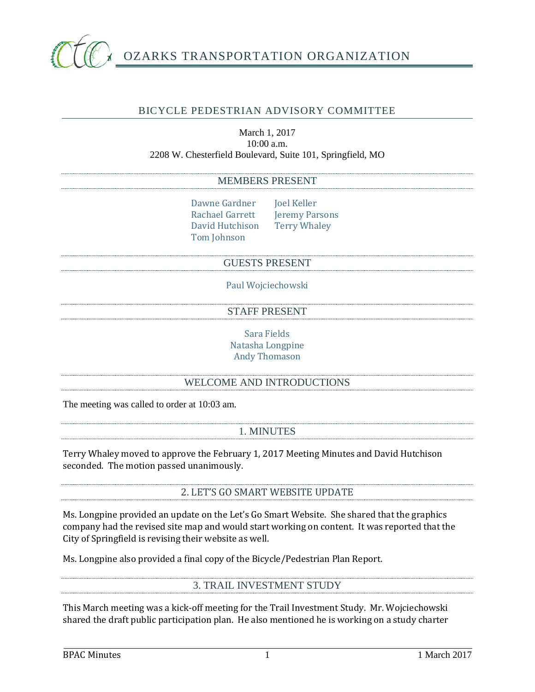

# OZARKS TRANSPORTATION ORGANIZATION

# BICYCLE PEDESTRIAN ADVISORY COMMITTEE

## March 1, 2017 10:00 a.m. 2208 W. Chesterfield Boulevard, Suite 101, Springfield, MO

## MEMBERS PRESENT

Dawne Gardner Joel Keller<br>Rachael Garrett Jeremy Par David Hutchison Tom Johnson

Jeremy Parsons<br>Terry Whaley

#### GUESTS PRESENT

Paul Wojciechowski

STAFF PRESENT

Sara Fields Natasha Longpine Andy Thomason

## WELCOME AND INTRODUCTIONS

The meeting was called to order at 10:03 am.

1. MINUTES

Terry Whaley moved to approve the February 1, 2017 Meeting Minutes and David Hutchison seconded. The motion passed unanimously.

2. LET'S GO SMART WEBSITE UPDATE

Ms. Longpine provided an update on the Let's Go Smart Website. She shared that the graphics company had the revised site map and would start working on content. It was reported that the City of Springfield is revising their website as well.

Ms. Longpine also provided a final copy of the Bicycle/Pedestrian Plan Report.

# 3. TRAIL INVESTMENT STUDY

This March meeting was a kick-off meeting for the Trail Investment Study. Mr. Wojciechowski shared the draft public participation plan. He also mentioned he is working on a study charter